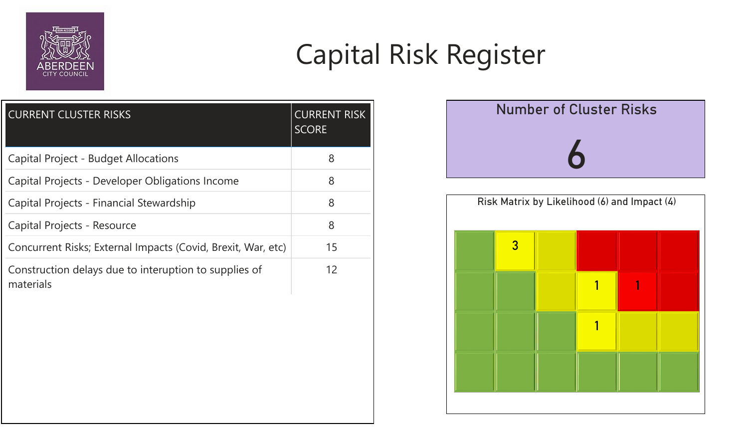

| <b>CURRENT CLUSTER RISKS</b>                                       | <b>CURRENT RISK</b><br><b>SCORE</b> |
|--------------------------------------------------------------------|-------------------------------------|
| <b>Capital Project - Budget Allocations</b>                        | 8                                   |
| Capital Projects - Developer Obligations Income                    | 8                                   |
| Capital Projects - Financial Stewardship                           | 8                                   |
| Capital Projects - Resource                                        | 8                                   |
| Concurrent Risks; External Impacts (Covid, Brexit, War, etc)       | 15                                  |
| Construction delays due to interuption to supplies of<br>materials | 12                                  |



## Capital Risk Register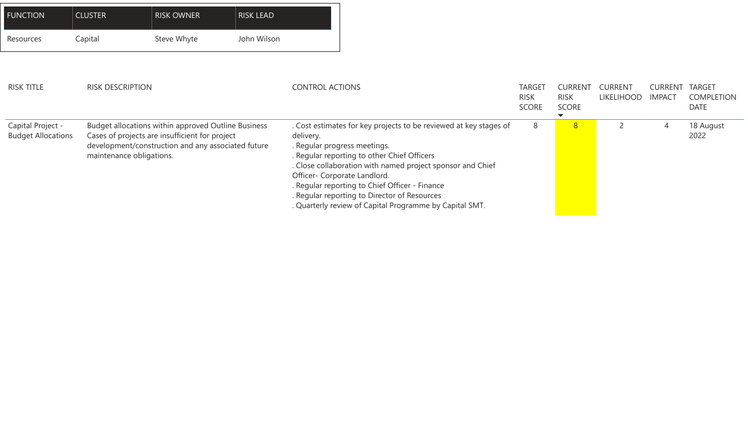

| <b>FUNCTION</b>                                | <b>CLUSTER</b>           | <b>RISK OWNER</b>                                                                                                                                                  | <b>RISK LEAD</b> |                        |                                                                                                                                                                                                                                                                                                                                                                                                             |                             |                               |                                     |                                 |                                 |
|------------------------------------------------|--------------------------|--------------------------------------------------------------------------------------------------------------------------------------------------------------------|------------------|------------------------|-------------------------------------------------------------------------------------------------------------------------------------------------------------------------------------------------------------------------------------------------------------------------------------------------------------------------------------------------------------------------------------------------------------|-----------------------------|-------------------------------|-------------------------------------|---------------------------------|---------------------------------|
| Resources                                      | Capital                  | Steve Whyte                                                                                                                                                        | John Wilson      |                        |                                                                                                                                                                                                                                                                                                                                                                                                             |                             |                               |                                     |                                 |                                 |
| <b>RISK TITLE</b>                              | <b>RISK DESCRIPTION</b>  |                                                                                                                                                                    |                  | <b>CONTROL ACTIONS</b> |                                                                                                                                                                                                                                                                                                                                                                                                             | <b>TARGE</b><br><b>RISK</b> | <b>CURRENT</b><br><b>RISK</b> | <b>CURRENT</b><br><b>LIKELIHOOD</b> | <b>CURRENT</b><br><b>IMPACT</b> | <b>TARGET</b><br><b>COMPLET</b> |
|                                                |                          |                                                                                                                                                                    |                  |                        |                                                                                                                                                                                                                                                                                                                                                                                                             | <b>SCORE</b>                | <b>SCORE</b>                  |                                     |                                 | <b>DATE</b>                     |
| Capital Project -<br><b>Budget Allocations</b> | maintenance obligations. | <b>Budget allocations within approved Outline Business</b><br>Cases of projects are insufficient for project<br>development/construction and any associated future |                  | delivery.              | . Cost estimates for key projects to be reviewed at key stages of<br>. Regular progress meetings.<br>. Regular reporting to other Chief Officers<br>. Close collaboration with named project sponsor and Chief<br>Officer- Corporate Landlord.<br>. Regular reporting to Chief Officer - Finance<br>. Regular reporting to Director of Resources<br>. Quarterly review of Capital Programme by Capital SMT. | 8                           | 8                             |                                     | $\overline{4}$                  | 18 August<br>2022               |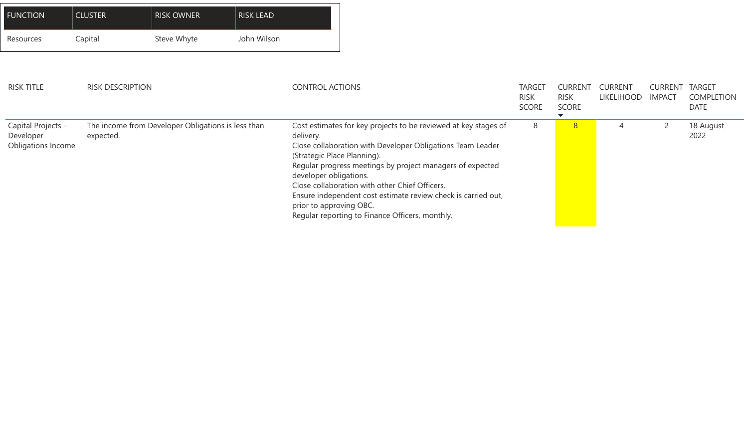

| <b>RISK TITLE</b>                                            | <b>RISK DESCRIPTION</b>                                         | <b>CONTROL ACTIONS</b>                                                                                                                                                                                                                                                                                                                                                                                                                                            | TARGE <sup>-</sup><br><b>RISK</b><br><b>SCORE</b> | CURRENT<br><b>RISK</b><br><b>SCORE</b> | <b>CURRENT</b><br><b>LIKELIHOOD</b> | <b>CURREN</b><br><b>IMPACT</b> | <b>TARGET</b><br><b>COMPLET</b><br><b>DATE</b> |
|--------------------------------------------------------------|-----------------------------------------------------------------|-------------------------------------------------------------------------------------------------------------------------------------------------------------------------------------------------------------------------------------------------------------------------------------------------------------------------------------------------------------------------------------------------------------------------------------------------------------------|---------------------------------------------------|----------------------------------------|-------------------------------------|--------------------------------|------------------------------------------------|
| Capital Projects -<br>Developer<br><b>Obligations Income</b> | The income from Developer Obligations is less than<br>expected. | Cost estimates for key projects to be reviewed at key stages of<br>delivery.<br>Close collaboration with Developer Obligations Team Leader<br>(Strategic Place Planning).<br>Regular progress meetings by project managers of expected<br>developer obligations.<br>Close collaboration with other Chief Officers.<br>Ensure independent cost estimate review check is carried out,<br>prior to approving OBC.<br>Regular reporting to Finance Officers, monthly. | 8                                                 | 8 <sup>1</sup>                         |                                     |                                | 18 August<br>2022                              |

| <b>FUNCTION</b> | <b>CLUSTER</b> | <b>RISK OWNER</b> | <b>RISK LEAD</b> |
|-----------------|----------------|-------------------|------------------|
| Resources       | Capital        | Steve Whyte       | John Wilson      |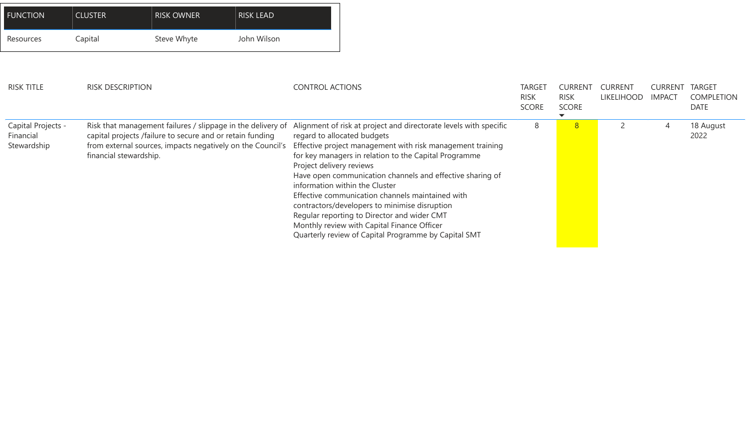

| <b>FUNCTION</b>                                       | <b>CLUSTER</b>          | <b>RISK OWNER</b>                                                                                                                                                                      | <b>RISK LEAD</b> |                          |                                                                                                                                                                                                                                                                                                                                                                                                                                                                                                                                                                                   |                                             |                                        |                                     |                                |                                                |
|-------------------------------------------------------|-------------------------|----------------------------------------------------------------------------------------------------------------------------------------------------------------------------------------|------------------|--------------------------|-----------------------------------------------------------------------------------------------------------------------------------------------------------------------------------------------------------------------------------------------------------------------------------------------------------------------------------------------------------------------------------------------------------------------------------------------------------------------------------------------------------------------------------------------------------------------------------|---------------------------------------------|----------------------------------------|-------------------------------------|--------------------------------|------------------------------------------------|
| Resources                                             | Capital                 | Steve Whyte                                                                                                                                                                            | John Wilson      |                          |                                                                                                                                                                                                                                                                                                                                                                                                                                                                                                                                                                                   |                                             |                                        |                                     |                                |                                                |
| <b>RISK TITLE</b>                                     | <b>RISK DESCRIPTION</b> |                                                                                                                                                                                        |                  | <b>CONTROL ACTIONS</b>   |                                                                                                                                                                                                                                                                                                                                                                                                                                                                                                                                                                                   | <b>TARGE</b><br><b>RISK</b><br><b>SCORE</b> | CURRENT<br><b>RISK</b><br><b>SCORE</b> | <b>CURRENT</b><br><b>LIKELIHOOD</b> | <b>CURREN</b><br><b>IMPACT</b> | <b>TARGET</b><br><b>COMPLET</b><br><b>DATE</b> |
| <b>Capital Projects -</b><br>Financial<br>Stewardship | financial stewardship.  | Risk that management failures / slippage in the delivery of<br>capital projects /failure to secure and or retain funding<br>from external sources, impacts negatively on the Council's |                  | Project delivery reviews | Alignment of risk at project and directorate levels with specific<br>regard to allocated budgets<br>Effective project management with risk management training<br>for key managers in relation to the Capital Programme<br>Have open communication channels and effective sharing of<br>information within the Cluster<br>Effective communication channels maintained with<br>contractors/developers to minimise disruption<br>Regular reporting to Director and wider CMT<br>Monthly review with Capital Finance Officer<br>Quarterly review of Capital Programme by Capital SMT | 8                                           | 8 <sup>°</sup>                         |                                     | $\overline{4}$                 | 18 August<br>2022                              |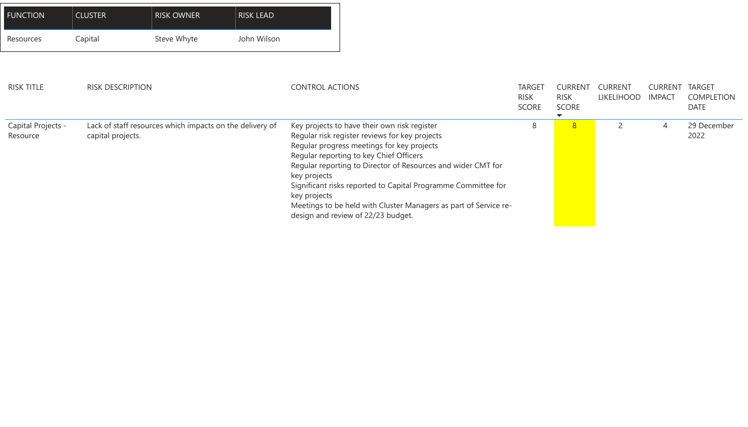| <b>RISK TITLE</b>              | <b>RISK DESCRIPTION</b>                                                       | <b>CONTROL ACTIONS</b>                                                                                                                                                                                                                                                                                                                                                                                                                                             | <b>TARGET</b><br><b>RISK</b><br><b>SCORE</b> | <b>CURREN</b><br><b>RISK</b><br><b>SCORE</b> | CURRENT<br><b>LIKELIHOOD</b> | <b>CURREN</b><br><b>IMPACT</b> | <b>TARG</b><br><b>COMI</b><br><b>DATE</b> |
|--------------------------------|-------------------------------------------------------------------------------|--------------------------------------------------------------------------------------------------------------------------------------------------------------------------------------------------------------------------------------------------------------------------------------------------------------------------------------------------------------------------------------------------------------------------------------------------------------------|----------------------------------------------|----------------------------------------------|------------------------------|--------------------------------|-------------------------------------------|
| Capital Projects -<br>Resource | Lack of staff resources which impacts on the delivery of<br>capital projects. | Key projects to have their own risk register<br>Regular risk register reviews for key projects<br>Regular progress meetings for key projects<br>Regular reporting to key Chief Officers<br>Regular reporting to Director of Resources and wider CMT for<br>key projects<br>Significant risks reported to Capital Programme Committee for<br>key projects<br>Meetings to be held with Cluster Managers as part of Service re-<br>design and review of 22/23 budget. | 8                                            | 8 <sup>2</sup>                               |                              | $\overline{4}$                 | 29 De<br>2022                             |



| <b>FUNCTION</b> | <b>CLUSTER</b> | <b>RISK OWNER</b> | <b>RISK LEAD</b> |
|-----------------|----------------|-------------------|------------------|
| Resources       | Capital        | Steve Whyte       | John Wilson      |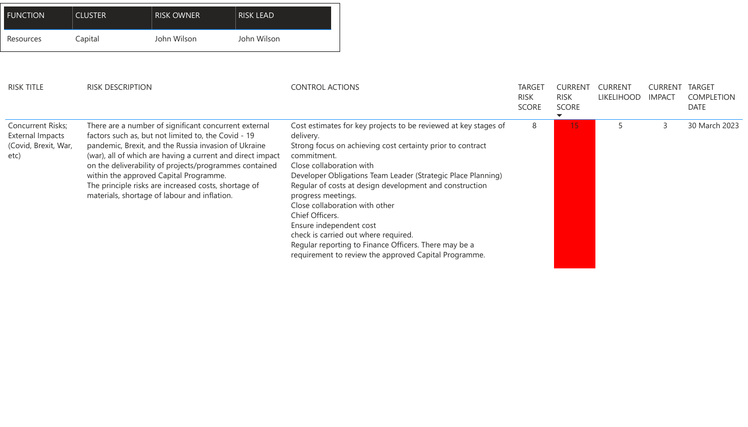| <b>FUNCTION</b>                                                                     | <b>CLUSTER</b>          | <b>RISK OWNER</b>                                                                                                                                                                                                                                                                                                                                                                                                                              | <b>RISK LEAD</b> |                                                                                                                                 |                                                                                                                                                                                                                                                                                                                                                                                                                                                      |                                              |                                               |                                     |                                |                                      |
|-------------------------------------------------------------------------------------|-------------------------|------------------------------------------------------------------------------------------------------------------------------------------------------------------------------------------------------------------------------------------------------------------------------------------------------------------------------------------------------------------------------------------------------------------------------------------------|------------------|---------------------------------------------------------------------------------------------------------------------------------|------------------------------------------------------------------------------------------------------------------------------------------------------------------------------------------------------------------------------------------------------------------------------------------------------------------------------------------------------------------------------------------------------------------------------------------------------|----------------------------------------------|-----------------------------------------------|-------------------------------------|--------------------------------|--------------------------------------|
| Resources                                                                           | Capital                 | John Wilson                                                                                                                                                                                                                                                                                                                                                                                                                                    | John Wilson      |                                                                                                                                 |                                                                                                                                                                                                                                                                                                                                                                                                                                                      |                                              |                                               |                                     |                                |                                      |
| <b>RISK TITLE</b>                                                                   | <b>RISK DESCRIPTION</b> |                                                                                                                                                                                                                                                                                                                                                                                                                                                |                  | <b>CONTROL ACTIONS</b>                                                                                                          |                                                                                                                                                                                                                                                                                                                                                                                                                                                      | <b>TARGET</b><br><b>RISK</b><br><b>SCORE</b> | <b>CURRENT</b><br><b>RISK</b><br><b>SCORE</b> | <b>CURRENT</b><br><b>LIKELIHOOD</b> | <b>CURREI</b><br><b>IMPACT</b> | <b>TAR</b><br>COI<br>DA <sub>1</sub> |
| <b>Concurrent Risks;</b><br><b>External Impacts</b><br>(Covid, Brexit, War,<br>etc) |                         | There are a number of significant concurrent external<br>factors such as, but not limited to, the Covid - 19<br>pandemic, Brexit, and the Russia invasion of Ukraine<br>(war), all of which are having a current and direct impact<br>on the deliverability of projects/programmes contained<br>within the approved Capital Programme.<br>The principle risks are increased costs, shortage of<br>materials, shortage of labour and inflation. |                  | delivery.<br>commitment.<br>Close collaboration with<br>progress meetings.<br><b>Chief Officers.</b><br>Ensure independent cost | Cost estimates for key projects to be reviewed at key stages of<br>Strong focus on achieving cost certainty prior to contract<br>Developer Obligations Team Leader (Strategic Place Planning)<br>Regular of costs at design development and construction<br>Close collaboration with other<br>check is carried out where required.<br>Regular reporting to Finance Officers. There may be a<br>requirement to review the approved Capital Programme. | 8                                            | 15                                            |                                     |                                | 30 l                                 |